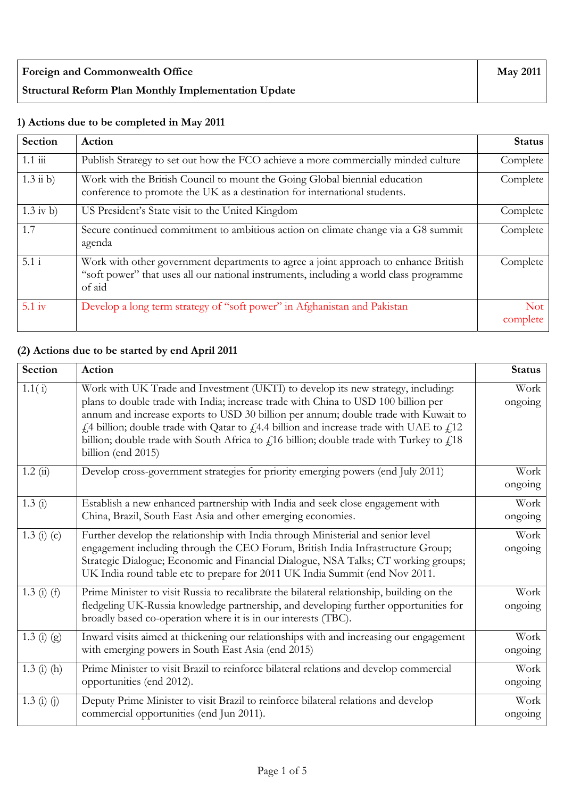| <b>Foreign and Commonwealth Office</b>                      | <b>May 2011</b> |
|-------------------------------------------------------------|-----------------|
| <b>Structural Reform Plan Monthly Implementation Update</b> |                 |

## **1) Actions due to be completed in May 2011**

| <b>Section</b>              | Action                                                                                                                                                                                  | <b>Status</b>          |
|-----------------------------|-----------------------------------------------------------------------------------------------------------------------------------------------------------------------------------------|------------------------|
| $1.1 \overline{\text{iii}}$ | Publish Strategy to set out how the FCO achieve a more commercially minded culture                                                                                                      | Complete               |
| $1.3$ ii b)                 | Work with the British Council to mount the Going Global biennial education<br>conference to promote the UK as a destination for international students.                                 | Complete               |
| $1.3$ iv b)                 | US President's State visit to the United Kingdom                                                                                                                                        | Complete               |
| 1.7                         | Secure continued commitment to ambitious action on climate change via a G8 summit<br>agenda                                                                                             | Complete               |
| 5.1i                        | Work with other government departments to agree a joint approach to enhance British<br>"soft power" that uses all our national instruments, including a world class programme<br>of aid | Complete               |
| 5.1 <sub>iv</sub>           | Develop a long term strategy of "soft power" in Afghanistan and Pakistan                                                                                                                | <b>Not</b><br>complete |

## **(2) Actions due to be started by end April 2011**

| Section       | Action                                                                                                                                                                                                                                                                                                                                                                                                                                                                                   | <b>Status</b>   |
|---------------|------------------------------------------------------------------------------------------------------------------------------------------------------------------------------------------------------------------------------------------------------------------------------------------------------------------------------------------------------------------------------------------------------------------------------------------------------------------------------------------|-----------------|
| 1.1(i)        | Work with UK Trade and Investment (UKTI) to develop its new strategy, including:<br>plans to double trade with India; increase trade with China to USD 100 billion per<br>annum and increase exports to USD 30 billion per annum; double trade with Kuwait to<br>$f1$ 4 billion; double trade with Qatar to $f14.4$ billion and increase trade with UAE to $f112$<br>billion; double trade with South Africa to $fi16$ billion; double trade with Turkey to $fi18$<br>billion (end 2015) | Work<br>ongoing |
| 1.2(i)        | Develop cross-government strategies for priority emerging powers (end July 2011)                                                                                                                                                                                                                                                                                                                                                                                                         | Work<br>ongoing |
| 1.3(i)        | Establish a new enhanced partnership with India and seek close engagement with<br>China, Brazil, South East Asia and other emerging economies.                                                                                                                                                                                                                                                                                                                                           | Work<br>ongoing |
| 1.3 (i) $(c)$ | Further develop the relationship with India through Ministerial and senior level<br>engagement including through the CEO Forum, British India Infrastructure Group;<br>Strategic Dialogue; Economic and Financial Dialogue, NSA Talks; CT working groups;<br>UK India round table etc to prepare for 2011 UK India Summit (end Nov 2011.                                                                                                                                                 | Work<br>ongoing |
| $1.3(i)$ (f)  | Prime Minister to visit Russia to recalibrate the bilateral relationship, building on the<br>fledgeling UK-Russia knowledge partnership, and developing further opportunities for<br>broadly based co-operation where it is in our interests (TBC).                                                                                                                                                                                                                                      | Work<br>ongoing |
| $1.3(j)$ (g)  | Inward visits aimed at thickening our relationships with and increasing our engagement<br>with emerging powers in South East Asia (end 2015)                                                                                                                                                                                                                                                                                                                                             | Work<br>ongoing |
| $1.3$ (i) (h) | Prime Minister to visit Brazil to reinforce bilateral relations and develop commercial<br>opportunities (end 2012).                                                                                                                                                                                                                                                                                                                                                                      | Work<br>ongoing |
| $1.3(i)$ (j)  | Deputy Prime Minister to visit Brazil to reinforce bilateral relations and develop<br>commercial opportunities (end Jun 2011).                                                                                                                                                                                                                                                                                                                                                           | Work<br>ongoing |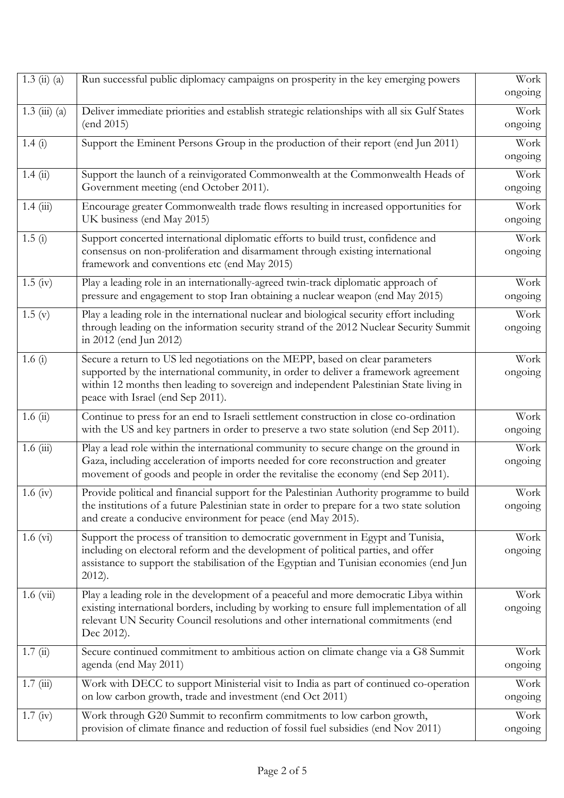| $1.3 \; (ii) \; (a)$ | Run successful public diplomacy campaigns on prosperity in the key emerging powers                                                                                                                                                                                                                  | Work<br>ongoing |
|----------------------|-----------------------------------------------------------------------------------------------------------------------------------------------------------------------------------------------------------------------------------------------------------------------------------------------------|-----------------|
| $1.3$ (iii) (a)      | Deliver immediate priorities and establish strategic relationships with all six Gulf States<br>(end 2015)                                                                                                                                                                                           | Work<br>ongoing |
| 1.4(i)               | Support the Eminent Persons Group in the production of their report (end Jun 2011)                                                                                                                                                                                                                  | Work<br>ongoing |
| 1.4(i)               | Support the launch of a reinvigorated Commonwealth at the Commonwealth Heads of<br>Government meeting (end October 2011).                                                                                                                                                                           | Work<br>ongoing |
| 1.4(iii)             | Encourage greater Commonwealth trade flows resulting in increased opportunities for<br>UK business (end May 2015)                                                                                                                                                                                   | Work<br>ongoing |
| 1.5(i)               | Support concerted international diplomatic efforts to build trust, confidence and<br>consensus on non-proliferation and disarmament through existing international<br>framework and conventions etc (end May 2015)                                                                                  | Work<br>ongoing |
| $1.5 \; (iv)$        | Play a leading role in an internationally-agreed twin-track diplomatic approach of<br>pressure and engagement to stop Iran obtaining a nuclear weapon (end May 2015)                                                                                                                                | Work<br>ongoing |
| 1.5(y)               | Play a leading role in the international nuclear and biological security effort including<br>through leading on the information security strand of the 2012 Nuclear Security Summit<br>in 2012 (end Jun 2012)                                                                                       | Work<br>ongoing |
| 1.6 $(i)$            | Secure a return to US led negotiations on the MEPP, based on clear parameters<br>supported by the international community, in order to deliver a framework agreement<br>within 12 months then leading to sovereign and independent Palestinian State living in<br>peace with Israel (end Sep 2011). | Work<br>ongoing |
| 1.6(i)               | Continue to press for an end to Israeli settlement construction in close co-ordination<br>with the US and key partners in order to preserve a two state solution (end Sep 2011).                                                                                                                    | Work<br>ongoing |
| 1.6(iii)             | Play a lead role within the international community to secure change on the ground in<br>Gaza, including acceleration of imports needed for core reconstruction and greater<br>movement of goods and people in order the revitalise the economy (end Sep 2011).                                     | Work<br>ongoing |
| 1.6 (iv)             | Provide political and financial support for the Palestinian Authority programme to build<br>the institutions of a future Palestinian state in order to prepare for a two state solution<br>and create a conducive environment for peace (end May 2015).                                             | Work<br>ongoing |
| $1.6 \text{ (vi)}$   | Support the process of transition to democratic government in Egypt and Tunisia,<br>including on electoral reform and the development of political parties, and offer<br>assistance to support the stabilisation of the Egyptian and Tunisian economies (end Jun<br>$2012$ ).                       | Work<br>ongoing |
| $1.6 \text{ (vii)}$  | Play a leading role in the development of a peaceful and more democratic Libya within<br>existing international borders, including by working to ensure full implementation of all<br>relevant UN Security Council resolutions and other international commitments (end<br>Dec 2012).               | Work<br>ongoing |
| 1.7(i)               | Secure continued commitment to ambitious action on climate change via a G8 Summit<br>agenda (end May 2011)                                                                                                                                                                                          | Work<br>ongoing |
| 1.7(iii)             | Work with DECC to support Ministerial visit to India as part of continued co-operation<br>on low carbon growth, trade and investment (end Oct 2011)                                                                                                                                                 | Work<br>ongoing |
| $1.7 \text{ (iv)}$   | Work through G20 Summit to reconfirm commitments to low carbon growth,<br>provision of climate finance and reduction of fossil fuel subsidies (end Nov 2011)                                                                                                                                        | Work<br>ongoing |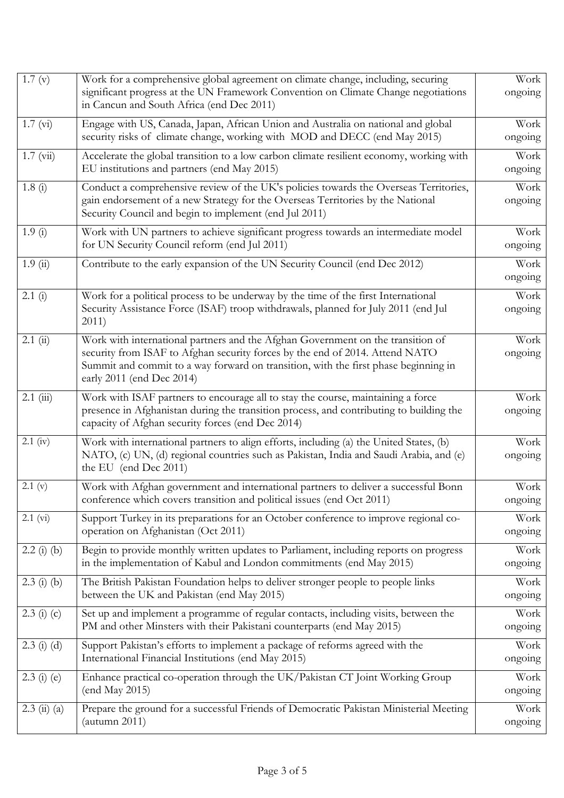| $\overline{1}$ .7 (v)              | Work for a comprehensive global agreement on climate change, including, securing<br>significant progress at the UN Framework Convention on Climate Change negotiations<br>in Cancun and South Africa (end Dec 2011)                                                                 | Work<br>ongoing |
|------------------------------------|-------------------------------------------------------------------------------------------------------------------------------------------------------------------------------------------------------------------------------------------------------------------------------------|-----------------|
| 1.7 (vi)                           | Engage with US, Canada, Japan, African Union and Australia on national and global<br>security risks of climate change, working with MOD and DECC (end May 2015)                                                                                                                     | Work<br>ongoing |
| $1.7 \ (vi)$                       | Accelerate the global transition to a low carbon climate resilient economy, working with<br>EU institutions and partners (end May 2015)                                                                                                                                             | Work<br>ongoing |
| 1.8(i)                             | Conduct a comprehensive review of the UK's policies towards the Overseas Territories,<br>gain endorsement of a new Strategy for the Overseas Territories by the National<br>Security Council and begin to implement (end Jul 2011)                                                  | Work<br>ongoing |
| 1.9(i)                             | Work with UN partners to achieve significant progress towards an intermediate model<br>for UN Security Council reform (end Jul 2011)                                                                                                                                                | Work<br>ongoing |
| 1.9(i)                             | Contribute to the early expansion of the UN Security Council (end Dec 2012)                                                                                                                                                                                                         | Work<br>ongoing |
| 2.1(i)                             | Work for a political process to be underway by the time of the first International<br>Security Assistance Force (ISAF) troop withdrawals, planned for July 2011 (end Jul<br>2011)                                                                                                   | Work<br>ongoing |
| 2.1(i)                             | Work with international partners and the Afghan Government on the transition of<br>security from ISAF to Afghan security forces by the end of 2014. Attend NATO<br>Summit and commit to a way forward on transition, with the first phase beginning in<br>early 2011 (end Dec 2014) | Work<br>ongoing |
| $2.1$ (iii)                        | Work with ISAF partners to encourage all to stay the course, maintaining a force<br>presence in Afghanistan during the transition process, and contributing to building the<br>capacity of Afghan security forces (end Dec 2014)                                                    | Work<br>ongoing |
| $2.1$ (iv)                         | Work with international partners to align efforts, including (a) the United States, (b)<br>NATO, (c) UN, (d) regional countries such as Pakistan, India and Saudi Arabia, and (e)<br>the EU (end Dec 2011)                                                                          | Work<br>ongoing |
| 2.1 (v)                            | Work with Afghan government and international partners to deliver a successful Bonn<br>conference which covers transition and political issues (end Oct 2011)                                                                                                                       | Work<br>ongoing |
| 2.1 (vi)                           | Support Turkey in its preparations for an October conference to improve regional co-<br>operation on Afghanistan (Oct 2011)                                                                                                                                                         | Work<br>ongoing |
| $2.2$ (i) (b)                      | Begin to provide monthly written updates to Parliament, including reports on progress<br>in the implementation of Kabul and London commitments (end May 2015)                                                                                                                       | Work<br>ongoing |
| $2.3$ (i) (b)                      | The British Pakistan Foundation helps to deliver stronger people to people links<br>between the UK and Pakistan (end May 2015)                                                                                                                                                      | Work<br>ongoing |
| $2.3$ (i) (c)                      | Set up and implement a programme of regular contacts, including visits, between the<br>PM and other Minsters with their Pakistani counterparts (end May 2015)                                                                                                                       | Work<br>ongoing |
| $2.3$ (i) (d)                      | Support Pakistan's efforts to implement a package of reforms agreed with the<br>International Financial Institutions (end May 2015)                                                                                                                                                 | Work<br>ongoing |
| $2.3$ (i) (e)                      | Enhance practical co-operation through the UK/Pakistan CT Joint Working Group<br>(end May 2015)                                                                                                                                                                                     | Work<br>ongoing |
| $2.3 \; \text{(ii)} \; \text{(a)}$ | Prepare the ground for a successful Friends of Democratic Pakistan Ministerial Meeting<br>(autumn 2011)                                                                                                                                                                             | Work<br>ongoing |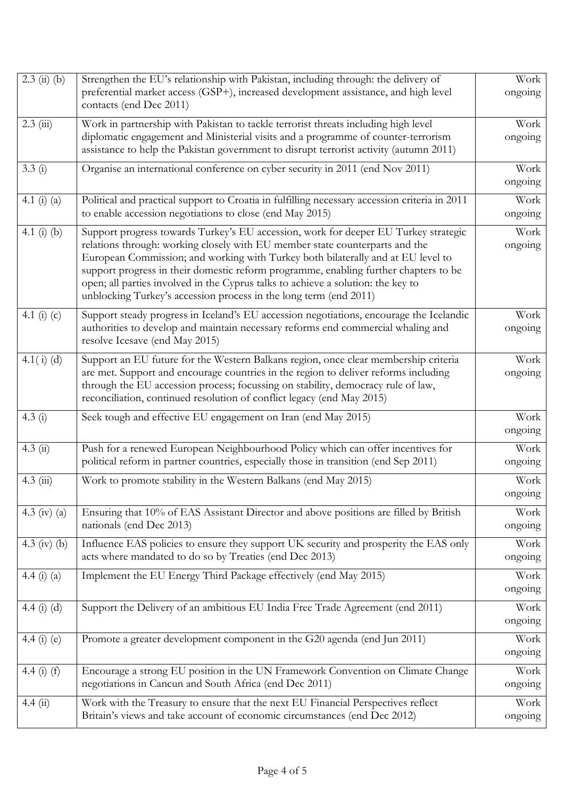| $2.3$ (ii) (b)  | Strengthen the EU's relationship with Pakistan, including through: the delivery of<br>preferential market access (GSP+), increased development assistance, and high level<br>contacts (end Dec 2011)                                                                                                                                                                                                                                                                                                     | Work<br>ongoing |
|-----------------|----------------------------------------------------------------------------------------------------------------------------------------------------------------------------------------------------------------------------------------------------------------------------------------------------------------------------------------------------------------------------------------------------------------------------------------------------------------------------------------------------------|-----------------|
| $2.3$ (iii)     | Work in partnership with Pakistan to tackle terrorist threats including high level<br>diplomatic engagement and Ministerial visits and a programme of counter-terrorism<br>assistance to help the Pakistan government to disrupt terrorist activity (autumn 2011)                                                                                                                                                                                                                                        | Work<br>ongoing |
| 3.3(i)          | Organise an international conference on cyber security in 2011 (end Nov 2011)                                                                                                                                                                                                                                                                                                                                                                                                                            | Work<br>ongoing |
| 4.1 $(i)$ $(a)$ | Political and practical support to Croatia in fulfilling necessary accession criteria in 2011<br>to enable accession negotiations to close (end May 2015)                                                                                                                                                                                                                                                                                                                                                | Work<br>ongoing |
| 4.1 $(i)$ $(b)$ | Support progress towards Turkey's EU accession, work for deeper EU Turkey strategic<br>relations through: working closely with EU member state counterparts and the<br>European Commission; and working with Turkey both bilaterally and at EU level to<br>support progress in their domestic reform programme, enabling further chapters to be<br>open; all parties involved in the Cyprus talks to achieve a solution: the key to<br>unblocking Turkey's accession process in the long term (end 2011) | Work<br>ongoing |
| 4.1 (i) (c)     | Support steady progress in Iceland's EU accession negotiations, encourage the Icelandic<br>authorities to develop and maintain necessary reforms end commercial whaling and<br>resolve Icesave (end May 2015)                                                                                                                                                                                                                                                                                            | Work<br>ongoing |
| $4.1(i)$ (d)    | Support an EU future for the Western Balkans region, once clear membership criteria<br>are met. Support and encourage countries in the region to deliver reforms including<br>through the EU accession process; focussing on stability, democracy rule of law,<br>reconciliation, continued resolution of conflict legacy (end May 2015)                                                                                                                                                                 | Work<br>ongoing |
| 4.3(i)          | Seek tough and effective EU engagement on Iran (end May 2015)                                                                                                                                                                                                                                                                                                                                                                                                                                            | Work<br>ongoing |
| 4.3(i)          | Push for a renewed European Neighbourhood Policy which can offer incentives for<br>political reform in partner countries, especially those in transition (end Sep 2011)                                                                                                                                                                                                                                                                                                                                  | Work<br>ongoing |
| $4.3$ (iii)     | Work to promote stability in the Western Balkans (end May 2015)                                                                                                                                                                                                                                                                                                                                                                                                                                          | Work<br>ongoing |
| 4.3 (iv) (a)    | Ensuring that 10% of EAS Assistant Director and above positions are filled by British<br>nationals (end Dec 2013)                                                                                                                                                                                                                                                                                                                                                                                        | Work<br>ongoing |
| 4.3 (iv) (b)    | Influence EAS policies to ensure they support UK security and prosperity the EAS only<br>acts where mandated to do so by Treaties (end Dec 2013)                                                                                                                                                                                                                                                                                                                                                         | Work<br>ongoing |
| 4.4 $(i)$ $(a)$ | Implement the EU Energy Third Package effectively (end May 2015)                                                                                                                                                                                                                                                                                                                                                                                                                                         | Work<br>ongoing |
| 4.4 $(i)$ $(d)$ | Support the Delivery of an ambitious EU India Free Trade Agreement (end 2011)                                                                                                                                                                                                                                                                                                                                                                                                                            | Work<br>ongoing |
| 4.4 $(i)$ $(e)$ | Promote a greater development component in the G20 agenda (end Jun 2011)                                                                                                                                                                                                                                                                                                                                                                                                                                 | Work<br>ongoing |
| 4.4 $(i)$ (f)   | Encourage a strong EU position in the UN Framework Convention on Climate Change<br>negotiations in Cancun and South Africa (end Dec 2011)                                                                                                                                                                                                                                                                                                                                                                | Work<br>ongoing |
| 4.4(ii)         | Work with the Treasury to ensure that the next EU Financial Perspectives reflect<br>Britain's views and take account of economic circumstances (end Dec 2012)                                                                                                                                                                                                                                                                                                                                            | Work<br>ongoing |